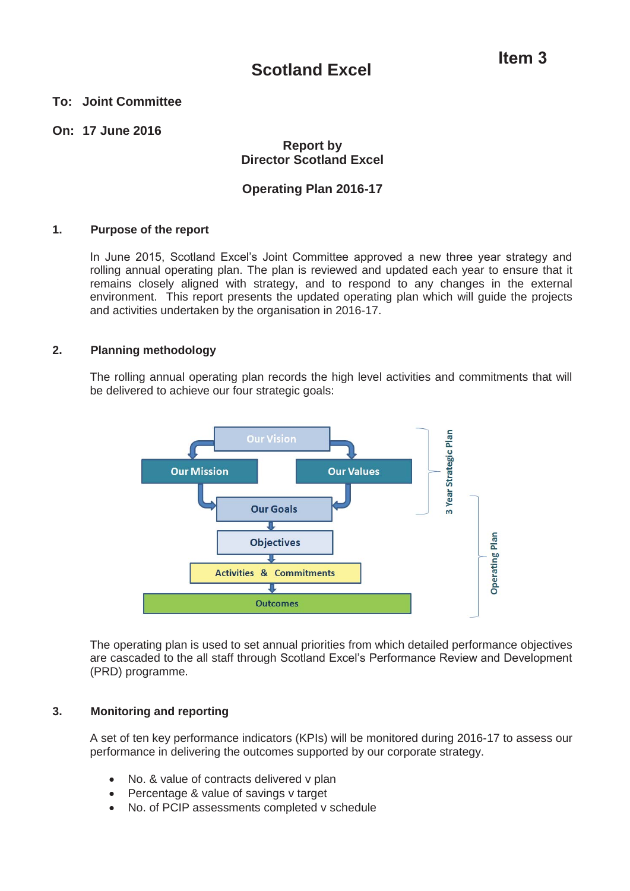### **To: Joint Committee**

### **On: 17 June 2016**

### **Report by Director Scotland Excel**

### **Operating Plan 2016-17**

### **1. Purpose of the report**

In June 2015, Scotland Excel's Joint Committee approved a new three year strategy and rolling annual operating plan. The plan is reviewed and updated each year to ensure that it remains closely aligned with strategy, and to respond to any changes in the external environment. This report presents the updated operating plan which will guide the projects and activities undertaken by the organisation in 2016-17.

### **2. Planning methodology**

The rolling annual operating plan records the high level activities and commitments that will be delivered to achieve our four strategic goals:



The operating plan is used to set annual priorities from which detailed performance objectives are cascaded to the all staff through Scotland Excel's Performance Review and Development (PRD) programme.

### **3. Monitoring and reporting**

A set of ten key performance indicators (KPIs) will be monitored during 2016-17 to assess our performance in delivering the outcomes supported by our corporate strategy.

- No. & value of contracts delivered v plan
- Percentage & value of savings v target
- No. of PCIP assessments completed v schedule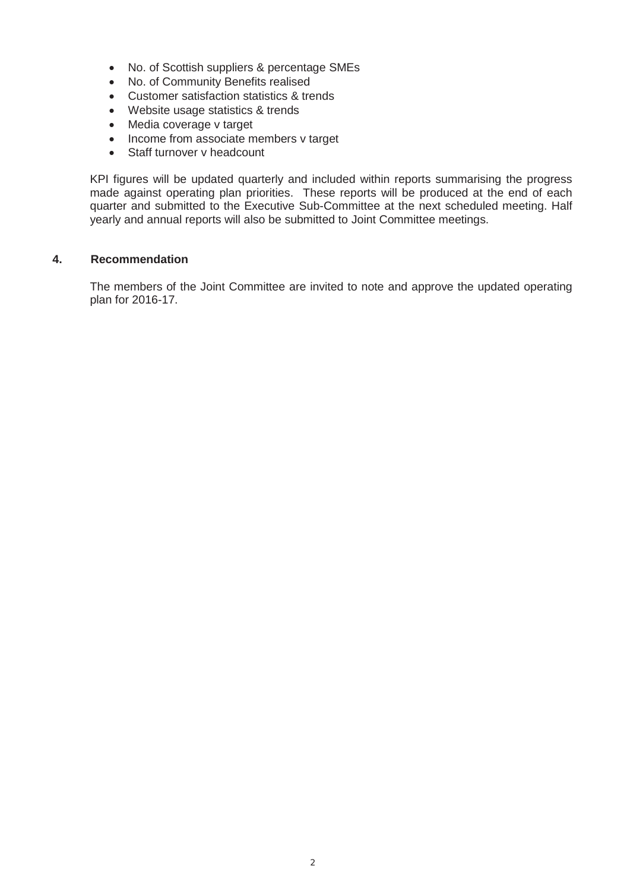- No. of Scottish suppliers & percentage SMEs
- No. of Community Benefits realised
- Customer satisfaction statistics & trends
- Website usage statistics & trends
- $\bullet$  Media coverage v target
- Income from associate members v target
- Staff turnover v headcount

KPI figures will be updated quarterly and included within reports summarising the progress made against operating plan priorities. These reports will be produced at the end of each quarter and submitted to the Executive Sub-Committee at the next scheduled meeting. Half yearly and annual reports will also be submitted to Joint Committee meetings.

### **4. Recommendation**

The members of the Joint Committee are invited to note and approve the updated operating plan for 2016-17.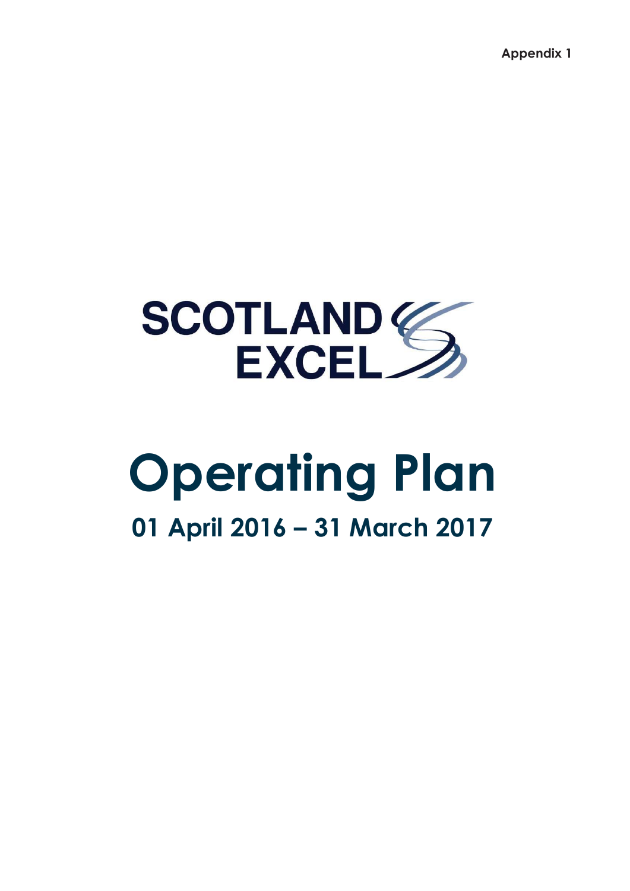**Appendix 1** 



# **Operating Plan 01 April 2016 – 31 March 2017**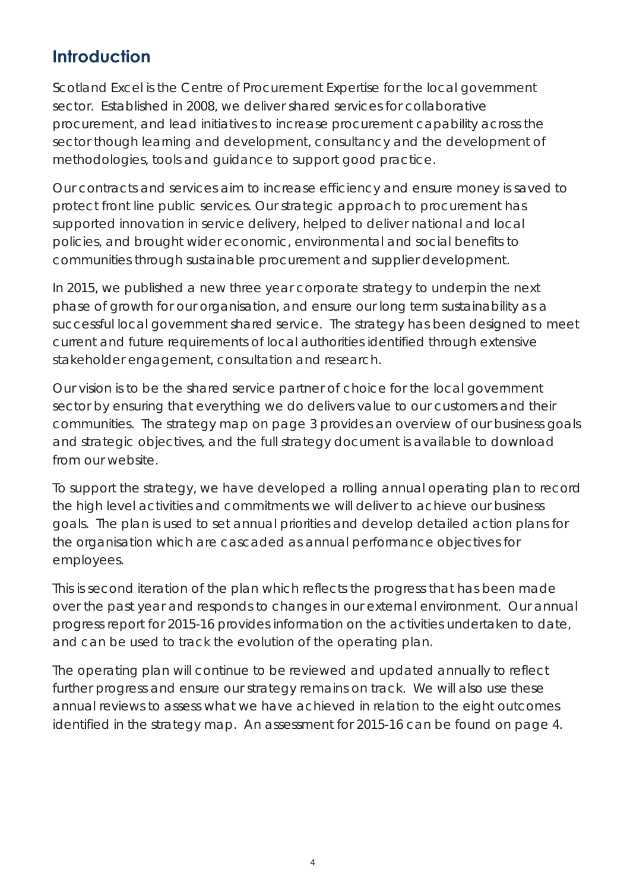### **Introduction**

Scotland Excel is the Centre of Procurement Expertise for the local government sector. Established in 2008, we deliver shared services for collaborative procurement, and lead initiatives to increase procurement capability across the sector though learning and development, consultancy and the development of methodologies, tools and guidance to support good practice.

Our contracts and services aim to increase efficiency and ensure money is saved to protect front line public services. Our strategic approach to procurement has supported innovation in service delivery, helped to deliver national and local policies, and brought wider economic, environmental and social benefits to communities through sustainable procurement and supplier development.

In 2015, we published a new three year corporate strategy to underpin the next phase of growth for our organisation, and ensure our long term sustainability as a successful local government shared service. The strategy has been designed to meet current and future requirements of local authorities identified through extensive stakeholder engagement, consultation and research.

Our vision is to be the shared service partner of choice for the local government sector by ensuring that everything we do delivers value to our customers and their communities. The strategy map on page 3 provides an overview of our business goals and strategic objectives, and the full strategy document is available to download from our website.

To support the strategy, we have developed a rolling annual operating plan to record the high level activities and commitments we will deliver to achieve our business goals. The plan is used to set annual priorities and develop detailed action plans for the organisation which are cascaded as annual performance objectives for employees.

This is second iteration of the plan which reflects the progress that has been made over the past year and responds to changes in our external environment. Our annual progress report for 2015-16 provides information on the activities undertaken to date, and can be used to track the evolution of the operating plan.

The operating plan will continue to be reviewed and updated annually to reflect further progress and ensure our strategy remains on track. We will also use these annual reviews to assess what we have achieved in relation to the eight outcomes identified in the strategy map. An assessment for 2015-16 can be found on page 4.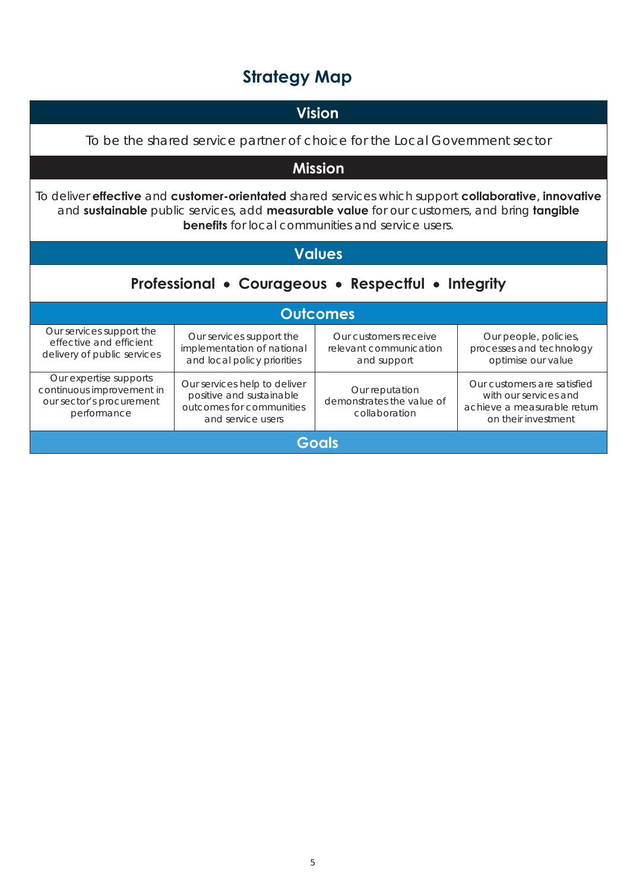# **Strategy Map**

| <b>Vision</b>                                                                                                                                                                                                                                                                                |                                                                                                           |                                                                |                                                                                                            |
|----------------------------------------------------------------------------------------------------------------------------------------------------------------------------------------------------------------------------------------------------------------------------------------------|-----------------------------------------------------------------------------------------------------------|----------------------------------------------------------------|------------------------------------------------------------------------------------------------------------|
| To be the shared service partner of choice for the Local Government sector                                                                                                                                                                                                                   |                                                                                                           |                                                                |                                                                                                            |
|                                                                                                                                                                                                                                                                                              |                                                                                                           | <b>Mission</b>                                                 |                                                                                                            |
| To deliver <b>effective</b> and <b>customer-orientated</b> shared services which support <b>collaborative</b> , <b>innovative</b><br>and sustainable public services, add measurable value for our customers, and bring tangible<br><b>benefits</b> for local communities and service users. |                                                                                                           |                                                                |                                                                                                            |
|                                                                                                                                                                                                                                                                                              |                                                                                                           | <b>Values</b>                                                  |                                                                                                            |
| Professional • Courageous • Respectful • Integrity                                                                                                                                                                                                                                           |                                                                                                           |                                                                |                                                                                                            |
| <b>Outcomes</b>                                                                                                                                                                                                                                                                              |                                                                                                           |                                                                |                                                                                                            |
| Our services support the<br>effective and efficient<br>delivery of public services                                                                                                                                                                                                           | Our services support the<br>implementation of national<br>and local policy priorities                     | Our customers receive<br>relevant communication<br>and support | Our people, policies,<br>processes and technology<br>optimise our value                                    |
| Our expertise supports<br>continuous improvement in<br>our sector's procurement<br>performance                                                                                                                                                                                               | Our services help to deliver<br>positive and sustainable<br>outcomes for communities<br>and service users | Our reputation<br>demonstrates the value of<br>collaboration   | Our customers are satisfied<br>with our services and<br>achieve a measurable return<br>on their investment |
| Goals                                                                                                                                                                                                                                                                                        |                                                                                                           |                                                                |                                                                                                            |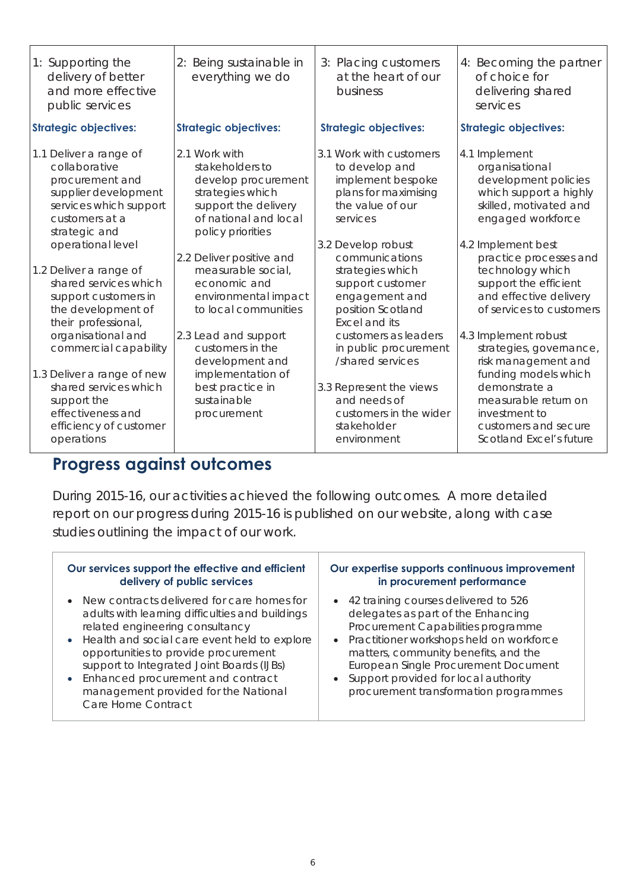| 1: Supporting the<br>delivery of better<br>and more effective<br>public services                                                                | 2: Being sustainable in<br>everything we do                                                                                                       | 3: Placing customers<br>at the heart of our<br>business                                                                | 4: Becoming the partner<br>of choice for<br>delivering shared<br>services                                                                |
|-------------------------------------------------------------------------------------------------------------------------------------------------|---------------------------------------------------------------------------------------------------------------------------------------------------|------------------------------------------------------------------------------------------------------------------------|------------------------------------------------------------------------------------------------------------------------------------------|
| <b>Strategic objectives:</b>                                                                                                                    | <b>Strategic objectives:</b>                                                                                                                      | <b>Strategic objectives:</b>                                                                                           | <b>Strategic objectives:</b>                                                                                                             |
| 1.1 Deliver a range of<br>collaborative<br>procurement and<br>supplier development<br>services which support<br>customers at a<br>strategic and | 2.1 Work with<br>stakeholders to<br>develop procurement<br>strategies which<br>support the delivery<br>of national and local<br>policy priorities | 3.1 Work with customers<br>to develop and<br>implement bespoke<br>plans for maximising<br>the value of our<br>services | 4.1 Implement<br>organisational<br>development policies<br>which support a highly<br>skilled, motivated and<br>engaged workforce         |
| operational level                                                                                                                               |                                                                                                                                                   | 3.2 Develop robust                                                                                                     | 4.2 Implement best                                                                                                                       |
| 1.2 Deliver a range of<br>shared services which<br>support customers in<br>the development of<br>their professional,                            | 2.2 Deliver positive and<br>measurable social,<br>economic and<br>environmental impact<br>to local communities                                    | communications<br>strategies which<br>support customer<br>engagement and<br>position Scotland<br><b>Excel and its</b>  | practice processes and<br>technology which<br>support the efficient<br>and effective delivery<br>of services to customers                |
| organisational and<br>commercial capability                                                                                                     | 2.3 Lead and support<br>customers in the<br>development and                                                                                       | customers as leaders<br>in public procurement<br>/shared services                                                      | 4.3 Implement robust<br>strategies, governance,<br>risk management and                                                                   |
| 1.3 Deliver a range of new<br>shared services which<br>support the<br>effectiveness and<br>efficiency of customer<br>operations                 | implementation of<br>best practice in<br>sustainable<br>procurement                                                                               | 3.3 Represent the views<br>and needs of<br>customers in the wider<br>stakeholder<br>environment                        | funding models which<br>demonstrate a<br>measurable return on<br>investment to<br>customers and secure<br><b>Scotland Excel's future</b> |

# **Progress against outcomes**

During 2015-16, our activities achieved the following outcomes. A more detailed report on our progress during 2015-16 is published on our website, along with case studies outlining the impact of our work.

| Our services support the effective and efficient                                                                                                                                                                                                                                                                                                                               | Our expertise supports continuous improvement                                                                                                                                                                                                                                                                                       |
|--------------------------------------------------------------------------------------------------------------------------------------------------------------------------------------------------------------------------------------------------------------------------------------------------------------------------------------------------------------------------------|-------------------------------------------------------------------------------------------------------------------------------------------------------------------------------------------------------------------------------------------------------------------------------------------------------------------------------------|
| delivery of public services                                                                                                                                                                                                                                                                                                                                                    | in procurement performance                                                                                                                                                                                                                                                                                                          |
| • New contracts delivered for care homes for<br>adults with learning difficulties and buildings<br>related engineering consultancy<br>• Health and social care event held to explore<br>opportunities to provide procurement<br>support to Integrated Joint Boards (IJBs)<br>• Enhanced procurement and contract<br>management provided for the National<br>Care Home Contract | • 42 training courses delivered to 526<br>delegates as part of the Enhancing<br>Procurement Capabilities programme<br>• Practitioner workshops held on workforce<br>matters, community benefits, and the<br>European Single Procurement Document<br>• Support provided for local authority<br>procurement transformation programmes |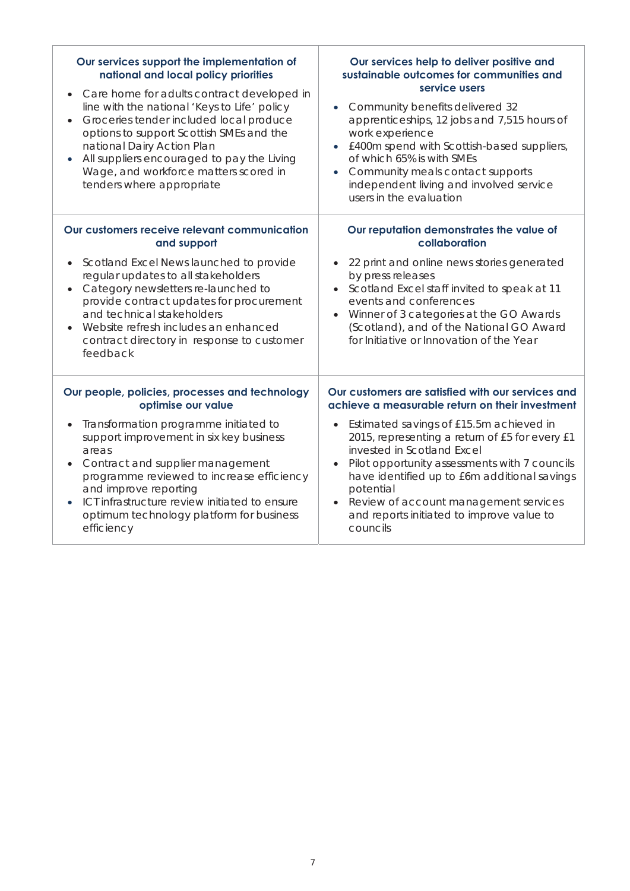| Our services support the implementation of<br>national and local policy priorities<br>Care home for adults contract developed in<br>line with the national 'Keys to Life' policy<br>Groceries tender included local produce<br>$\bullet$<br>options to support Scottish SMEs and the<br>national Dairy Action Plan<br>All suppliers encouraged to pay the Living<br>Wage, and workforce matters scored in<br>tenders where appropriate | Our services help to deliver positive and<br>sustainable outcomes for communities and<br>service users<br>Community benefits delivered 32<br>$\bullet$<br>apprenticeships, 12 jobs and 7,515 hours of<br>work experience<br>£400m spend with Scottish-based suppliers,<br>$\bullet$<br>of which 65% is with SMEs<br>Community meals contact supports<br>independent living and involved service                                                              |
|----------------------------------------------------------------------------------------------------------------------------------------------------------------------------------------------------------------------------------------------------------------------------------------------------------------------------------------------------------------------------------------------------------------------------------------|--------------------------------------------------------------------------------------------------------------------------------------------------------------------------------------------------------------------------------------------------------------------------------------------------------------------------------------------------------------------------------------------------------------------------------------------------------------|
| Our customers receive relevant communication<br>and support<br>Scotland Excel News launched to provide<br>regular updates to all stakeholders<br>Category newsletters re-launched to<br>provide contract updates for procurement<br>and technical stakeholders<br>Website refresh includes an enhanced<br>contract directory in response to customer<br>feedback                                                                       | users in the evaluation<br>Our reputation demonstrates the value of<br>collaboration<br>22 print and online news stories generated<br>by press releases<br>Scotland Excel staff invited to speak at 11<br>events and conferences<br>Winner of 3 categories at the GO Awards<br>$\bullet$<br>(Scotland), and of the National GO Award<br>for Initiative or Innovation of the Year                                                                             |
| Our people, policies, processes and technology<br>optimise our value<br>Transformation programme initiated to<br>support improvement in six key business<br>areas<br>Contract and supplier management<br>programme reviewed to increase efficiency<br>and improve reporting<br>ICT infrastructure review initiated to ensure<br>optimum technology platform for business<br>efficiency                                                 | Our customers are satisfied with our services and<br>achieve a measurable return on their investment<br>Estimated savings of £15.5m achieved in<br>$\bullet$<br>2015, representing a return of £5 for every £1<br>invested in Scotland Excel<br>Pilot opportunity assessments with 7 councils<br>have identified up to £6m additional savings<br>potential<br>Review of account management services<br>and reports initiated to improve value to<br>councils |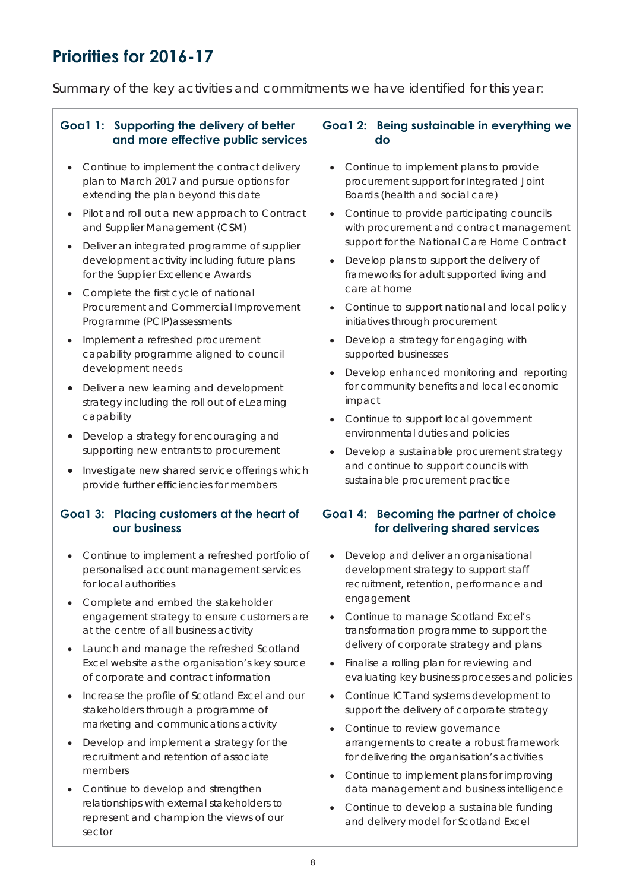## **Priorities for 2016-17**

Summary of the key activities and commitments we have identified for this year:

#### **Goa1 1: Supporting the delivery of better and more effective public services**  • Continue to implement the contract delivery plan to March 2017 and pursue options for extending the plan beyond this date • Pilot and roll out a new approach to Contract and Supplier Management (CSM) • Deliver an integrated programme of supplier development activity including future plans for the Supplier Excellence Awards • Complete the first cycle of national Procurement and Commercial Improvement Programme (PCIP)assessments • Implement a refreshed procurement capability programme aligned to council development needs • Deliver a new learning and development strategy including the roll out of eLearning capability • Develop a strategy for encouraging and supporting new entrants to procurement • Investigate new shared service offerings which provide further efficiencies for members **Goa1 2: Being sustainable in everything we do**  • Continue to implement plans to provide procurement support for Integrated Joint Boards (health and social care) • Continue to provide participating councils with procurement and contract management support for the National Care Home Contract • Develop plans to support the delivery of frameworks for adult supported living and care at home • Continue to support national and local policy initiatives through procurement • Develop a strategy for engaging with supported businesses • Develop enhanced monitoring and reporting for community benefits and local economic impact • Continue to support local government environmental duties and policies • Develop a sustainable procurement strategy and continue to support councils with sustainable procurement practice **Goa1 3: Placing customers at the heart of our business**  • Continue to implement a refreshed portfolio of personalised account management services for local authorities • Complete and embed the stakeholder engagement strategy to ensure customers are at the centre of all business activity • Launch and manage the refreshed Scotland Excel website as the organisation's key source of corporate and contract information • Increase the profile of Scotland Excel and our stakeholders through a programme of marketing and communications activity • Develop and implement a strategy for the recruitment and retention of associate members • Continue to develop and strengthen relationships with external stakeholders to represent and champion the views of our sector **Goa1 4: Becoming the partner of choice for delivering shared services**  • Develop and deliver an organisational development strategy to support staff recruitment, retention, performance and engagement • Continue to manage Scotland Excel's transformation programme to support the delivery of corporate strategy and plans • Finalise a rolling plan for reviewing and evaluating key business processes and policies • Continue ICT and systems development to support the delivery of corporate strategy • Continue to review governance arrangements to create a robust framework for delivering the organisation's activities • Continue to implement plans for improving data management and business intelligence • Continue to develop a sustainable funding and delivery model for Scotland Excel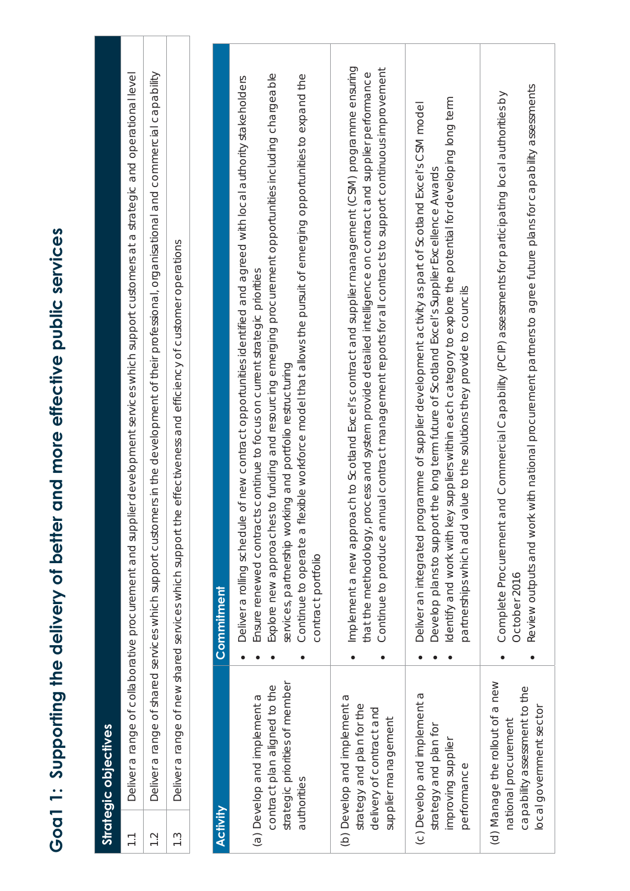| E                                                         |
|-----------------------------------------------------------|
|                                                           |
|                                                           |
| the delivery of beffer and more effective public servicer |
|                                                           |
| ĺ                                                         |
|                                                           |
|                                                           |
|                                                           |
|                                                           |
|                                                           |

**Strategic objectives** 

**Strategic objectives** 

| $\overline{\phantom{0}}$ |                                                                                                                    | plier development services which support customers at a strategic and operational level<br>Deliver a range of collaborative procurement and sup                                                                                                                                                                                                                                                                                                                                                                        |
|--------------------------|--------------------------------------------------------------------------------------------------------------------|------------------------------------------------------------------------------------------------------------------------------------------------------------------------------------------------------------------------------------------------------------------------------------------------------------------------------------------------------------------------------------------------------------------------------------------------------------------------------------------------------------------------|
| $\frac{1}{2}$            |                                                                                                                    | Deliver a range of shared services which support customers in the development of their professional, organisational and commercial capability                                                                                                                                                                                                                                                                                                                                                                          |
| $\frac{3}{2}$            |                                                                                                                    | Deliver a range of new shared services which support the effectiveness and efficiency of customer operations                                                                                                                                                                                                                                                                                                                                                                                                           |
|                          |                                                                                                                    |                                                                                                                                                                                                                                                                                                                                                                                                                                                                                                                        |
| Activity                 |                                                                                                                    | Commitment                                                                                                                                                                                                                                                                                                                                                                                                                                                                                                             |
|                          | strategic priorities of member<br>contract plan aligned to the<br>(a) Develop and implement a<br>authorities       | Explore new approaches to funding and resourcing emerging procurement opportunities including chargeable<br>flexible workforce model that allows the pursuit of emerging opportunities to expand the<br>e of new contract opportunities identified and agreed with local authority stakeholders<br>Ensure renewed contracts continue to focus on current strategic priorities<br>services, partnership working and portfolio restructuring<br>Deliver a rolling schedul<br>Continue to operate a<br>contract portfolio |
|                          | (b) Develop and implement a<br>strategy and plan for the<br>delivery of contract and<br>supplier management        | Implement a new approach to Scotland Excel's contract and supplier management (CSM) programme ensuring<br>nnual contract management reports for all contracts to support continuous improvement<br>process and system provide detailed intelligence on contract and supplier performance<br>Continue to produce a<br>that the methodology,                                                                                                                                                                             |
|                          | (c) Develop and implement a<br>strategy and plan for<br>improving supplier<br>performance                          | Identify and work with key suppliers within each category to explore the potential for developing long term<br>ogramme of supplier development activity as part of Scotland Excel's CSM model<br>rt the long term future of Scotland Excel's Supplier Excellence Awards<br>value to the solutions they provide to councils<br>Deliver an integrated pr<br>Develop plans to suppo<br>partnerships which add                                                                                                             |
|                          | (d) Manage the rollout of a new<br>capability assessment to the<br>local government sector<br>national procurement | Review outputs and work with national procurement partners to agree future plans for capability assessments<br>and Commercial Capability (PCIP) assessments for participating local authorities by<br>Complete Procurement<br>October 2016                                                                                                                                                                                                                                                                             |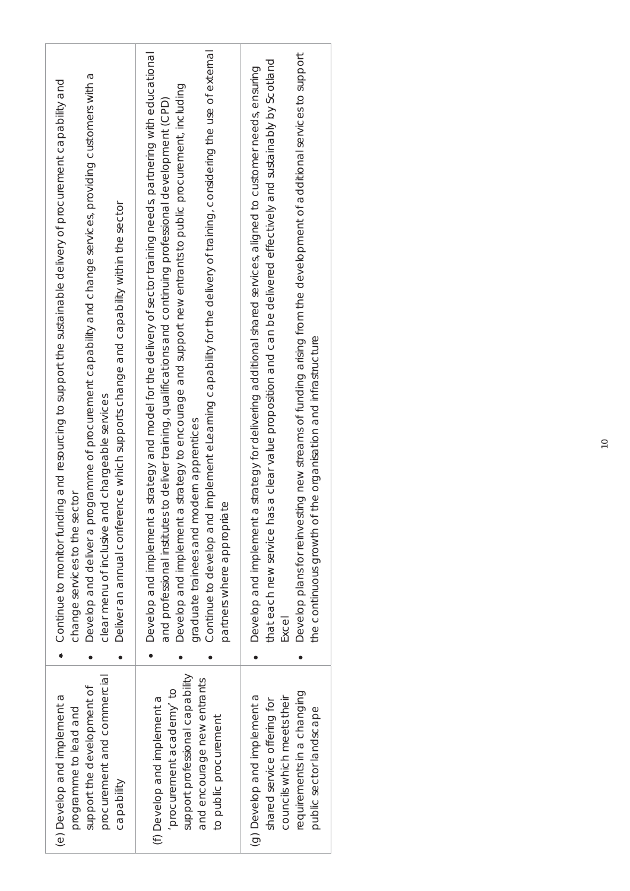| ogramme of procurement capability and change services, providing customers with a<br>Continue to monitor funding and resourcing to support the sustainable delivery of procurement capability and<br>ence which supports change and capability within the sector<br>nd chargeable services<br>change services to the sector<br>Develop and deliver a pr<br>clear menu of inclusive a<br>Deliver an annual confer | Continue to develop and implement eLearning capability for the delivery of training, considering the use of external<br>a strategy and model for the delivery of sector training needs, partnering with educational<br>a strategy to encourage and support new entrants to public procurement, including<br>and professional institutes to deliver training, qualifications and continuing professional development (CPD)<br>graduate trainees and modern apprentices<br>partners where appropriate<br>Develop and implement<br>Develop and implement | Develop plans for reinvesting new streams of funding arising from the development of additional services to support<br>that each new service has a clear value proposition and can be delivered effectively and sustainably by Scotland<br>a strategy for delivering additional shared services, aligned to customer needs, ensuring<br>the continuous growth of the organisation and infrastructure<br>Develop and implement<br>Excel |
|------------------------------------------------------------------------------------------------------------------------------------------------------------------------------------------------------------------------------------------------------------------------------------------------------------------------------------------------------------------------------------------------------------------|-------------------------------------------------------------------------------------------------------------------------------------------------------------------------------------------------------------------------------------------------------------------------------------------------------------------------------------------------------------------------------------------------------------------------------------------------------------------------------------------------------------------------------------------------------|----------------------------------------------------------------------------------------------------------------------------------------------------------------------------------------------------------------------------------------------------------------------------------------------------------------------------------------------------------------------------------------------------------------------------------------|
| procurement and commercial                                                                                                                                                                                                                                                                                                                                                                                       | support professional capability                                                                                                                                                                                                                                                                                                                                                                                                                                                                                                                       | requirements in a changing                                                                                                                                                                                                                                                                                                                                                                                                             |
| support the development of                                                                                                                                                                                                                                                                                                                                                                                       | and encourage new entrants                                                                                                                                                                                                                                                                                                                                                                                                                                                                                                                            | (g) Develop and implement a                                                                                                                                                                                                                                                                                                                                                                                                            |
| (e) Develop and implement a                                                                                                                                                                                                                                                                                                                                                                                      | procurement academy to                                                                                                                                                                                                                                                                                                                                                                                                                                                                                                                                | councils which meets their                                                                                                                                                                                                                                                                                                                                                                                                             |
| programme to lead and                                                                                                                                                                                                                                                                                                                                                                                            | (f) Develop and implement a                                                                                                                                                                                                                                                                                                                                                                                                                                                                                                                           | shared service offering for                                                                                                                                                                                                                                                                                                                                                                                                            |
| Capability                                                                                                                                                                                                                                                                                                                                                                                                       | to public procurement                                                                                                                                                                                                                                                                                                                                                                                                                                                                                                                                 | public sector landscape                                                                                                                                                                                                                                                                                                                                                                                                                |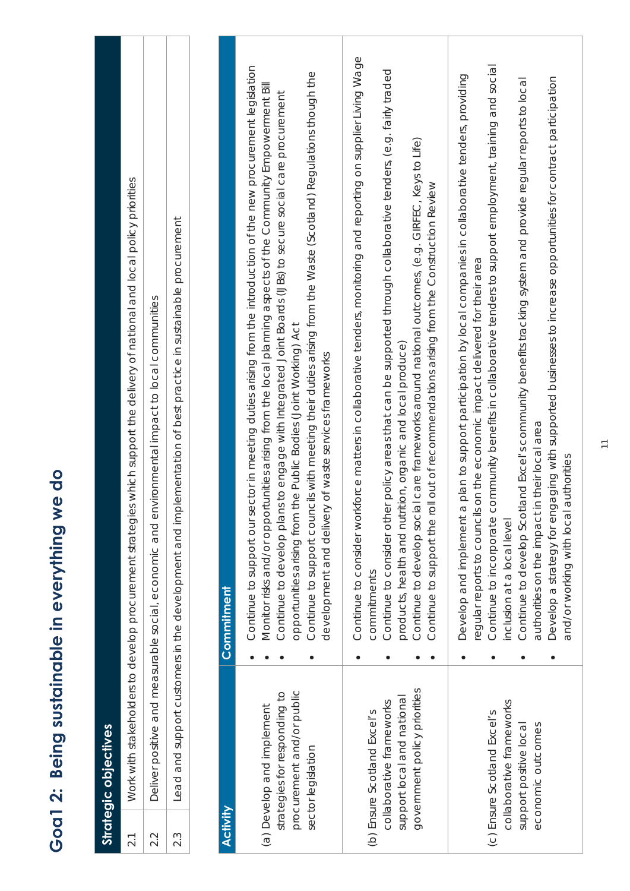| <b>Activity</b><br>2.2<br>$2.\overline{3}$<br>2.1 | Work with stakeholders to develop procurement strategi<br>government policy priorities<br>procurement and/or public<br>strategies for responding to<br>support local and national<br>collaborative frameworks<br>(a) Develop and implement<br>(b) Ensure Scotland Excel's<br>Strategic objectives<br>sector legislation | commitments<br>Commitment | Continue to consider workforce matters in collaborative tenders, monitoring and reporting on supplier Living Wage<br>sector in meeting duties arising from the introduction of the new procurement legislation<br>Continue to consider other policy areas that can be supported through collaborative tenders, (e.g. fairly traded<br>incils with meeting their duties arising from the Waste (Scotland) Regulations though the<br>a plan to support participation by local companies in collaborative tenders, providing<br>Monitor risks and/or opportunities arising from the local planning aspects of the Community Empowerment Bill<br>Continue to develop plans to engage with Integrated Joint Boards (UBs) to secure social care procurement<br>Continue to develop social care frameworks around national outcomes, (e.g. GIRFEC, Keys to Life)<br>ies which support the delivery of national and local policy priorities<br>Continue to support the roll out of recommendations arising from the Construction Review<br>Lead and support customers in the development and implementation of best practice in sustainable procurement<br>regular reports to councils on the economic impact delivered for their area<br>Deliver positive and measurable social, economic and environmental impact to local communities<br>opportunities arising from the Public Bodies (Joint Working) Act<br>products, health and nutrition, organic and local produce)<br>development and delivery of waste services frameworks<br>Continue to support cou<br>Develop and implement<br>Continue to support our |
|---------------------------------------------------|-------------------------------------------------------------------------------------------------------------------------------------------------------------------------------------------------------------------------------------------------------------------------------------------------------------------------|---------------------------|------------------------------------------------------------------------------------------------------------------------------------------------------------------------------------------------------------------------------------------------------------------------------------------------------------------------------------------------------------------------------------------------------------------------------------------------------------------------------------------------------------------------------------------------------------------------------------------------------------------------------------------------------------------------------------------------------------------------------------------------------------------------------------------------------------------------------------------------------------------------------------------------------------------------------------------------------------------------------------------------------------------------------------------------------------------------------------------------------------------------------------------------------------------------------------------------------------------------------------------------------------------------------------------------------------------------------------------------------------------------------------------------------------------------------------------------------------------------------------------------------------------------------------------------------------------------------------------------------------|
|                                                   | collaborative frameworks<br>(c) Ensure Scotland Excel's<br>economic outcomes<br>support positive local                                                                                                                                                                                                                  |                           | community benefits in collaborative tenders to support employment, training and social<br>Develop a strategy for engaging with supported businesses to increase opportunities for contract participation<br>Continue to develop Scotland Excel's community benefits tracking system and provide regular reports to local<br>authorities on the impact in their local area<br>and/or working with local authorities<br>Continue to incorporate<br>nclusion at a local level                                                                                                                                                                                                                                                                                                                                                                                                                                                                                                                                                                                                                                                                                                                                                                                                                                                                                                                                                                                                                                                                                                                                 |

**Goa1 2: Being sustainable in everything we do** 

Goa1 2: Being sustainable in everything we do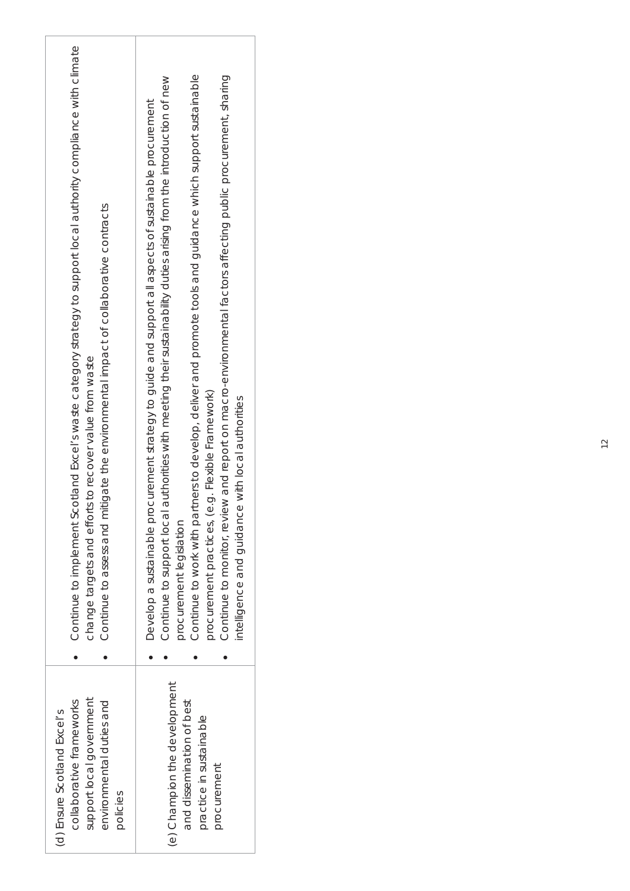| Continue to implement Scotland Excel's waste category strategy to support local authority compliance with climate<br>Continue to assess and mitigate the environmental impact of collaborative contracts<br>is to recover value from waste<br>change targets and effort | Continue to work with partners to develop, deliver and promote tools and guidance which support sustainable<br>Continue to monitor, review and report on macro-environmental factors affecting public procuremt, sharing<br>authorities with meeting their sustainability duties arising from the introduction of new<br>Develop a sustainable procurement strategy to guide and support all aspects of sustainable procurement<br>procurement practices, (e.g. Flexible Framework)<br>intelligence and guidance with local authorities<br>Continue to support local<br>procurement legislation |
|-------------------------------------------------------------------------------------------------------------------------------------------------------------------------------------------------------------------------------------------------------------------------|-------------------------------------------------------------------------------------------------------------------------------------------------------------------------------------------------------------------------------------------------------------------------------------------------------------------------------------------------------------------------------------------------------------------------------------------------------------------------------------------------------------------------------------------------------------------------------------------------|
| support local government<br>environmental duties and<br>collaborative frameworks<br>(d) Ensure Scotland Excel's<br>policies                                                                                                                                             | (e) Champion the development<br>and dissemination of best<br>practice in sustainable<br>procurement                                                                                                                                                                                                                                                                                                                                                                                                                                                                                             |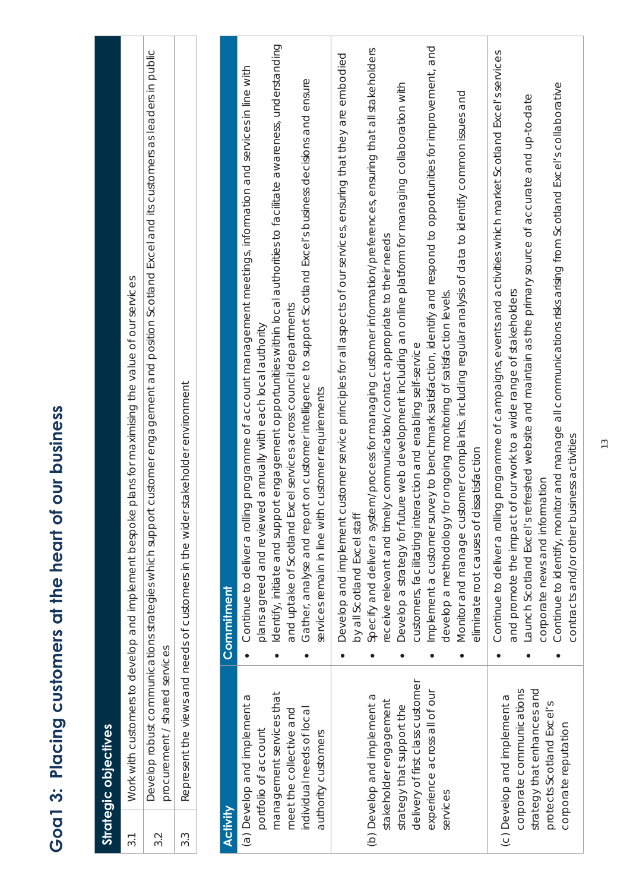| s: Placina customers at the heart of our busines |
|--------------------------------------------------|
|                                                  |
|                                                  |
| Goal 3:                                          |

**Strategic objectives** 

Strategic objectives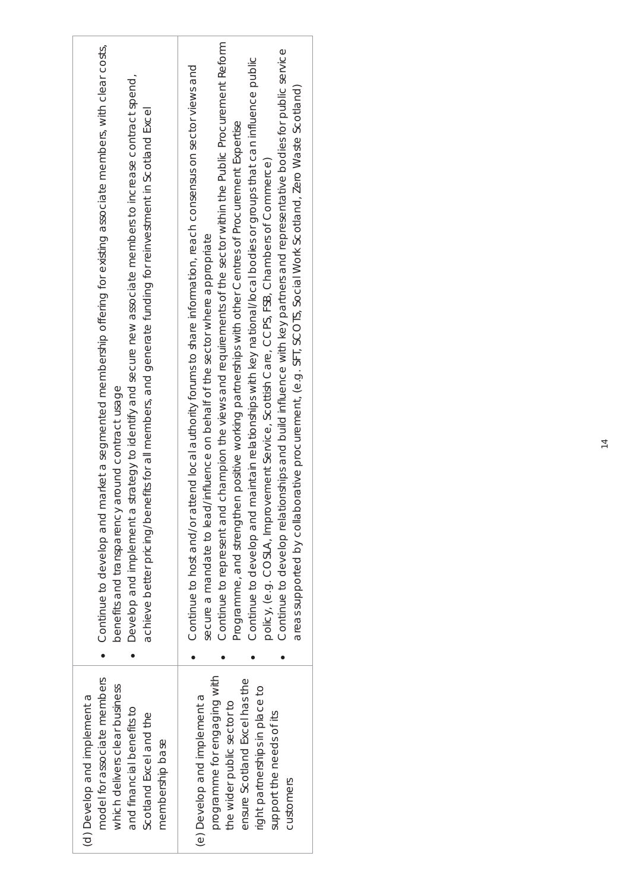| Continue to develop and market a segmented membership offering for existing associate members, with clear costs,<br>Develop and implement a strategy to identify and secure new associate members to increase contract spend,<br>achieve better pricing/benefits for all members, and generate funding for reinvestment in Scotland Excel<br>benefits and transparency around contract usage | champion the views and requirements of the sector within the Public Procurement Reform<br>Continue to develop relationships and build influence with key partners and representative bodies for public service<br>Continue to develop and maintain relationships with key national/local bodies or groups that can influence public<br>Continue to host and/or attend local authority forums to share information, reach consensus on sector views and<br>areas supported by collaborative procurement, (e.g. SFT, SOCOTS, Social Work Scotland, Zero Waste Scotland)<br>Programme, and strengthen positive working partnerships with other Centres of Procurement Expertise<br>ement Service, Scottish Care, CCPS, FSB, Chambers of Commerce)<br>secure a mandate to lead/influence on behalf of the sector where appropriate<br>policy, (e.g. COSLA, Improv<br>Continue to represent and |
|----------------------------------------------------------------------------------------------------------------------------------------------------------------------------------------------------------------------------------------------------------------------------------------------------------------------------------------------------------------------------------------------|--------------------------------------------------------------------------------------------------------------------------------------------------------------------------------------------------------------------------------------------------------------------------------------------------------------------------------------------------------------------------------------------------------------------------------------------------------------------------------------------------------------------------------------------------------------------------------------------------------------------------------------------------------------------------------------------------------------------------------------------------------------------------------------------------------------------------------------------------------------------------------------------|
|                                                                                                                                                                                                                                                                                                                                                                                              |                                                                                                                                                                                                                                                                                                                                                                                                                                                                                                                                                                                                                                                                                                                                                                                                                                                                                            |
| model for associate members<br>which delivers clear business<br>(d) Develop and implement a<br>and financial benefits to<br>Scotland Excel and the<br>membership base                                                                                                                                                                                                                        | programme for engaging with<br>ensure Scotland Excel has the<br>right partnerships in place to<br>(e) Develop and implement a<br>the wider public sector to<br>support the needs of its<br>customers                                                                                                                                                                                                                                                                                                                                                                                                                                                                                                                                                                                                                                                                                       |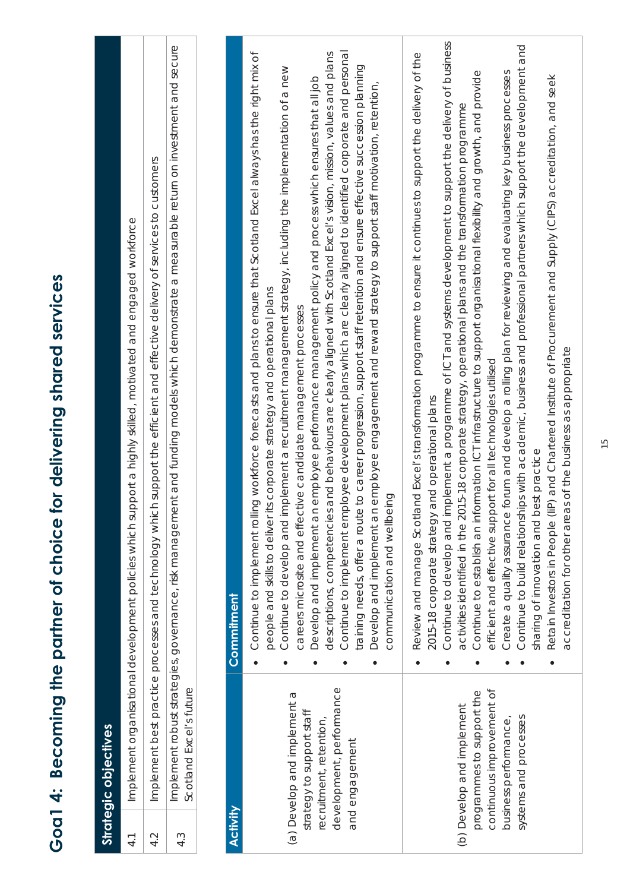| <b>Activity</b><br>4.2<br>$\overline{4}$ .<br>4.3 | Scotland Excel's future<br>development, performance<br>continuous improvement of<br>programmes to support the<br>(a) Develop and implement a<br>(b) Develop and implement<br>strategy to support staff<br>recruitment, retention,<br>Strategic objectives<br>and engagement | Continue to develop and implement a programme of ICT and systems development to support the delivery of business<br>Implement robust strategies, governance, risk management and funding models which demonstrate a measurable return on investment and secure<br>Continue to implement employee development plans which are clearly aligned to identified corporate and personal<br>Continue to implement rolling workforce forecasts and plans to ensure that Scotland Excel always has the right mix of<br>and Excel's transformation programme to ensure it continues to support the delivery of the<br>is and behaviours are clearly aligned with Scotland Excel's vision, mission, values and plans<br>training needs, offer a route to career progression, support staff retention and ensure effective succession planning<br>implement a recruitment management strategy, including the implementation of a new<br>Continue to establish an information ICT infrastructure to support organisational flexibility and growth, and provide<br>n employee performance management policy and process which ensures that all job<br>Develop and implement an employee engagement and reward strategy to support staff motivation, retention,<br>activities identified in the 2015-18 corporate strategy, operational plans and the transformation programme<br>Implement best practice processes and technology which support the efficient and effective delivery of services to customers<br>Implement organisational development policies which support a highly skilled, motivated and engaged workforce<br>people and skills to deliver its corporate strategy and operational plans<br>careers microsite and effective candidate management processes<br>efficient and effective support for all technologies utilised<br>2015-18 corporate strategy and operational plans<br>communication and wellbeing<br>Develop and implement a<br>descriptions, competencie<br>Review and manage Scotl<br>Continue to develop and<br>Commitment |
|---------------------------------------------------|-----------------------------------------------------------------------------------------------------------------------------------------------------------------------------------------------------------------------------------------------------------------------------|-------------------------------------------------------------------------------------------------------------------------------------------------------------------------------------------------------------------------------------------------------------------------------------------------------------------------------------------------------------------------------------------------------------------------------------------------------------------------------------------------------------------------------------------------------------------------------------------------------------------------------------------------------------------------------------------------------------------------------------------------------------------------------------------------------------------------------------------------------------------------------------------------------------------------------------------------------------------------------------------------------------------------------------------------------------------------------------------------------------------------------------------------------------------------------------------------------------------------------------------------------------------------------------------------------------------------------------------------------------------------------------------------------------------------------------------------------------------------------------------------------------------------------------------------------------------------------------------------------------------------------------------------------------------------------------------------------------------------------------------------------------------------------------------------------------------------------------------------------------------------------------------------------------------------------------------------------------------------------------------------------------------------------------------------|
|                                                   | systems and processes<br>business performance,                                                                                                                                                                                                                              | Continue to build relationships with academic, business and professional partners which support the development and<br>Create a quality assurance forum and develop a rolling plan for reviewing and and evaluating key business processes<br>(iiP) and Chartered Institute of Procurement and Supply (CIPS) accreditation, and seek<br>as of the business as appropriate<br>best practice<br>accreditation for other are<br>Retain Investors in People<br>sharing of innovation and                                                                                                                                                                                                                                                                                                                                                                                                                                                                                                                                                                                                                                                                                                                                                                                                                                                                                                                                                                                                                                                                                                                                                                                                                                                                                                                                                                                                                                                                                                                                                            |

**Goa1 4: Becoming the partner of choice for delivering shared services** 

Goal 4: Becoming the partner of choice for delivering shared services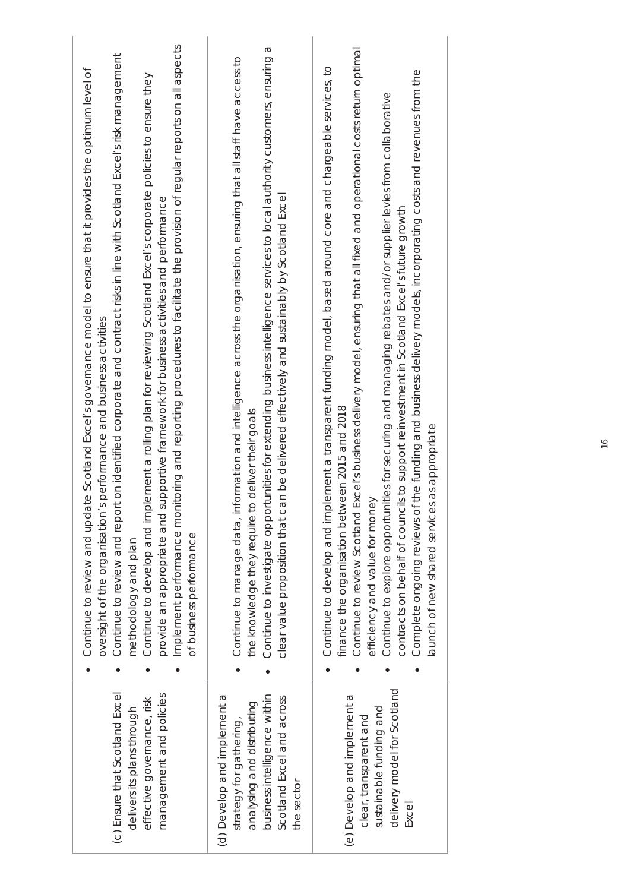| Implement performance monitoring and reporting procedures to facilitate the provision of regular reports on all aspects<br>Continue to review and report on identified corporate and contract risks in line with Scotland Excel's risk management<br>Continue to review and update Scotland Excel's governance model to ensure that it provides the optimum level of<br>plement a rolling plan for reviewing Scotland Excel's corporate policies to ensure they<br>supportive framework for business activities and performance<br>oversight of the organisation's performance and business activities<br>Continue to develop and im<br>provide an appropriate and<br>of business performance<br>methodology and plan | Continue to investigate opportunities for extending business intelligence services to local authority customers, ensuring a<br>Continue to manage data, information and intelligence across the organisation, ensuring that all staff have access to<br>clear value proposition that can be delivered effectively and sustainably by Scotland Excel<br>to deliver their goals<br>the knowledge they require | Continue to review Scotland Excel's business delivery model, ensuring that all fixed and operational costs return optimal<br>plement a transparent funding model, based around core and chargeable services, to<br>Complete ongoing reviews of the funding and business delivery models, incorporating costs and revenues from the<br>Continue to explore opportunities for securing and managing rebates and/or supplier levies from collaborative<br>contracts on behalf of councils to support reinvestment in Scotland Excel's future growth<br>finance the organisation between 2015 and 2018<br>launch of new shared services as appropriate<br>efficiency and value for money<br>Continue to develop and im |
|-----------------------------------------------------------------------------------------------------------------------------------------------------------------------------------------------------------------------------------------------------------------------------------------------------------------------------------------------------------------------------------------------------------------------------------------------------------------------------------------------------------------------------------------------------------------------------------------------------------------------------------------------------------------------------------------------------------------------|-------------------------------------------------------------------------------------------------------------------------------------------------------------------------------------------------------------------------------------------------------------------------------------------------------------------------------------------------------------------------------------------------------------|--------------------------------------------------------------------------------------------------------------------------------------------------------------------------------------------------------------------------------------------------------------------------------------------------------------------------------------------------------------------------------------------------------------------------------------------------------------------------------------------------------------------------------------------------------------------------------------------------------------------------------------------------------------------------------------------------------------------|
| (c) Ensure that Scotland Excel<br>management and policies<br>effective governance, risk<br>delivers its plans through                                                                                                                                                                                                                                                                                                                                                                                                                                                                                                                                                                                                 | (d) Develop and implement a<br>business intelligence within<br>Scotland Excel and across<br>analysing and distributing<br>strategy for gathering,<br>the sector                                                                                                                                                                                                                                             | delivery model for Scotland<br>(e) Develop and implement a<br>sustainable funding and<br>clear, transparent and<br>Excel                                                                                                                                                                                                                                                                                                                                                                                                                                                                                                                                                                                           |